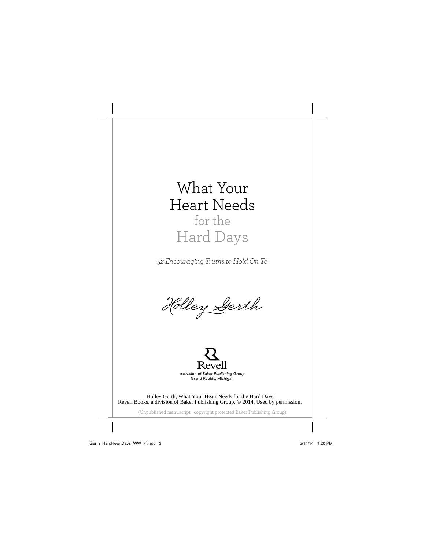## What Your Heart Needs for the Hard Days

*52 Encouraging Truths to Hold On To*

Holley Gerth



Holley Gerth, What Your Heart Needs for the Hard Days Revell Books, a division of Baker Publishing Group, © 2014. Used by permission.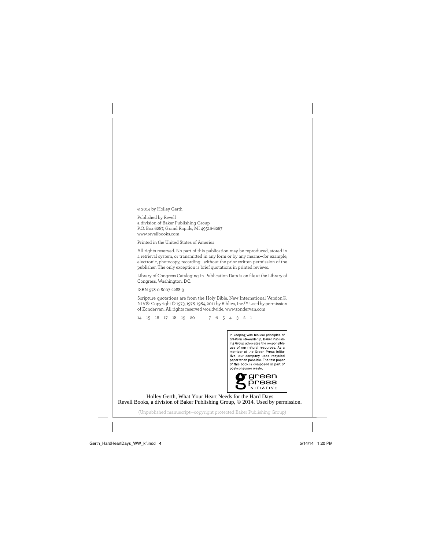© 2014 by Holley Gerth

Published by Revell a division of Baker Publishing Group P.O. Box 6287, Grand Rapids, MI 49516-6287 www.revellbooks.com

Printed in the United States of America

All rights reserved. No part of this publication may be reproduced, stored in a retrieval system, or transmitted in any form or by any means—for example, electronic, photocopy, recording—without the prior written permission of the publisher. The only exception is brief quotations in printed reviews.

Library of Congress Cataloging-in-Publication Data is on file at the Library of Congress, Washington, DC.

ISBN 978-0-8007-2288-3

Scripture quotations are from the Holy Bible, New International Version®. NIV®. Copyright © 1973, 1978, 1984, 2011 by Biblica, Inc.™ Used by permission of Zondervan. All rights reserved worldwide. www.zondervan.com

14 15 16 17 18 19 20 7 6 5 4 3 2 1

In keeping with biblical principles of creation stewardship, Baker Publishing Group advocates the responsible use of our natural resources. As a member of the Green Press Initiative, our company uses recycled paper when possible. The text paper of this book is composed in part of post-consumer waste.



Holley Gerth, What Your Heart Needs for the Hard Days Revell Books, a division of Baker Publishing Group, © 2014. Used by permission.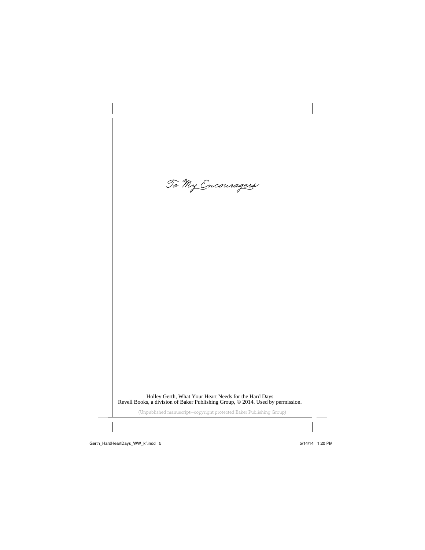To My Encouragers

Holley Gerth, What Your Heart Needs for the Hard Days Revell Books, a division of Baker Publishing Group, © 2014. Used by permission.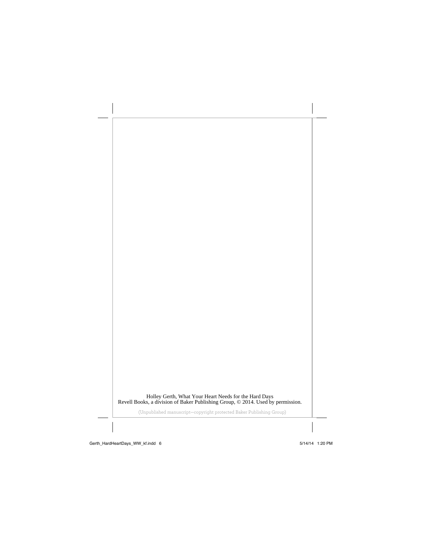Holley Gerth, What Your Heart Needs for the Hard Days Revell Books, a division of Baker Publishing Group, © 2014. Used by permission.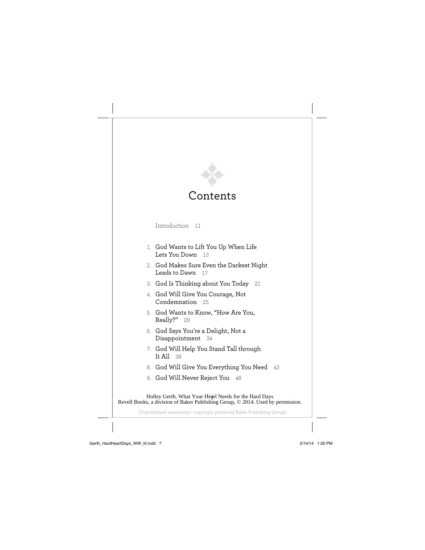

# Contents

Introduction 11

- 1. God Wants to Lift You Up When Life Lets You Down 13
- 2. God Makes Sure Even the Darkest Night Leads to Dawn 17
- 3. God Is Thinking about You Today 21
- 4. God Will Give You Courage, Not Condemnation 25
- 5. God Wants to Know, "How Are You, Really?" 29
- 6. God Says You're a Delight, Not a Disappointment 34
- 7. God Will Help You Stand Tall through It All 38
- 8. God Will Give You Everything You Need 43
- 9. God Will Never Reject You 48

7 Revell Books, a division of Baker Publishing Group, © 2014. Used by permission.Holley Gerth, What Your Heart Needs for the Hard Days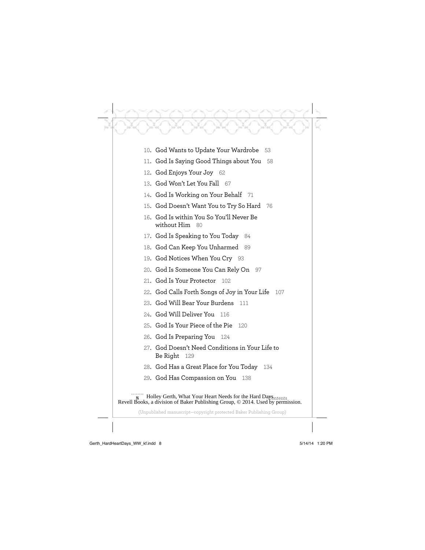- . God Wants to Update Your Wardrobe 53
- . God Is Saying Good Things about You 58
- . God Enjoys Your Joy 62
- . God Won't Let You Fall 67
- . God Is Working on Your Behalf 71
- . God Doesn't Want You to Try So Hard 76
- . God Is within You So You'll Never Be without Him 80
- . God Is Speaking to You Today 84
- . God Can Keep You Unharmed 89
- . God Notices When You Cry 93
- . God Is Someone You Can Rely On 97
- 21. God Is Your Protector 102
- . God Calls Forth Songs of Joy in Your Life 107
- . God Will Bear Your Burdens 111
- . God Will Deliver You 116
- . God Is Your Piece of the Pie 120
- . God Is Preparing You 124
- . God Doesn't Need Conditions in Your Life to Be Right 129
- . God Has a Great Place for You Today 134
- . God Has Compassion on You 138

8 Holley Gerth, what Your Heart Needs for the Hard DayS<sub>pitents</sub><br>Revell Books, a division of Baker Publishing Group, © 2014. Used by permission. Holley Gerth, What Your Heart Needs for the Hard Days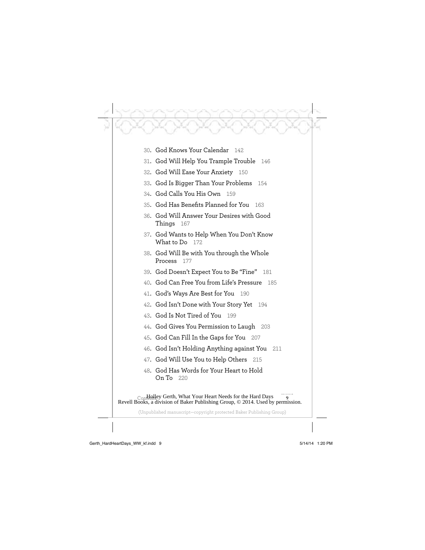- . God Knows Your Calendar 142
- . God Will Help You Trample Trouble 146
- . God Will Ease Your Anxiety 150
- . God Is Bigger Than Your Problems 154
- . God Calls You His Own 159
- . God Has Benefits Planned for You 163
- . God Will Answer Your Desires with Good Things 167
- . God Wants to Help When You Don't Know What to Do 172
- . God Will Be with You through the Whole Process 177
- . God Doesn't Expect You to Be "Fine" 181
- . God Can Free You from Life's Pressure 185
- . God's Ways Are Best for You 190
- . God Isn't Done with Your Story Yet 194
- . God Is Not Tired of You 199
- . God Gives You Permission to Laugh 203
- . God Can Fill In the Gaps for You 207
- . God Isn't Holding Anything against You 211
- . God Will Use You to Help Others 215
- . God Has Words for Your Heart to Hold On To 220

Contently Gertin, what Your Heart Needs for the Hard Days<br>Revell Books, a division of Baker Publishing Group, © 2014. Used by permission. ConHolley Gerth, What Your Heart Needs for the Hard Days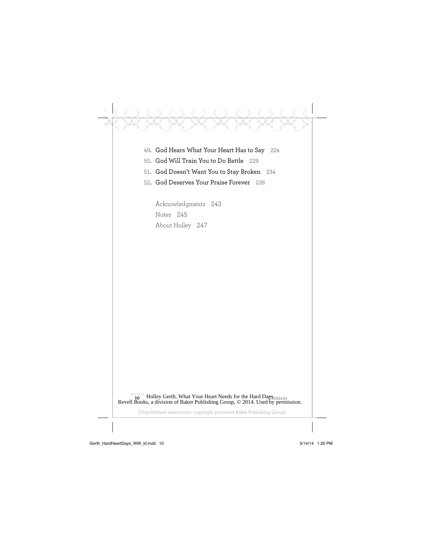- 49. God Hears What Your Heart Has to Say 224
- 50. God Will Train You to Do Battle 229
- 51. God Doesn't Want You to Stay Broken 234
- 52. God Deserves Your Praise Forever 238

 Acknowledgments 243 Notes 245 About Holley 247

<sub>10</sub> Holley Gerth, what Your Heart Needs for the Hard DayS<sub>pitents</sub><br>Revell Books, a division of Baker Publishing Group, © 2014. Used by permission. Holley Gerth, What Your Heart Needs for the Hard Days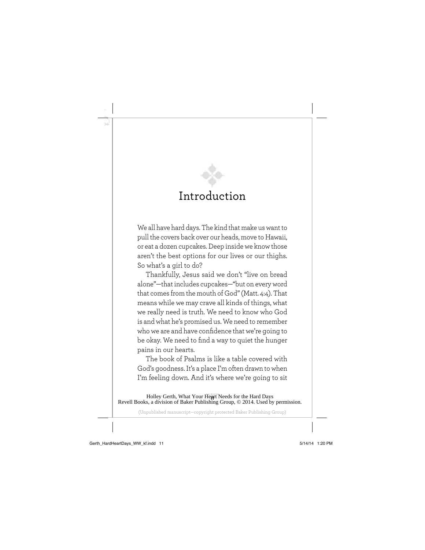## Introduction

We all have hard days. The kind that make us want to pull the covers back over our heads, move to Hawaii, or eat a dozen cupcakes. Deep inside we know those aren't the best options for our lives or our thighs. So what's a girl to do?

Thankfully, Jesus said we don't "live on bread alone"—that includes cupcakes—"but on every word that comes from the mouth of God" (Matt. 4:4). That means while we may crave all kinds of things, what we really need is truth. We need to know who God is and what he's promised us. We need to remember who we are and have confidence that we're going to be okay. We need to find a way to quiet the hunger pains in our hearts.

The book of Psalms is like a table covered with God's goodness. It's a place I'm often drawn to when I'm feeling down. And it's where we're going to sit

11 Revell Books, a division of Baker Publishing Group, © 2014. Used by permission.Holley Gerth, What Your Heart Needs for the Hard Days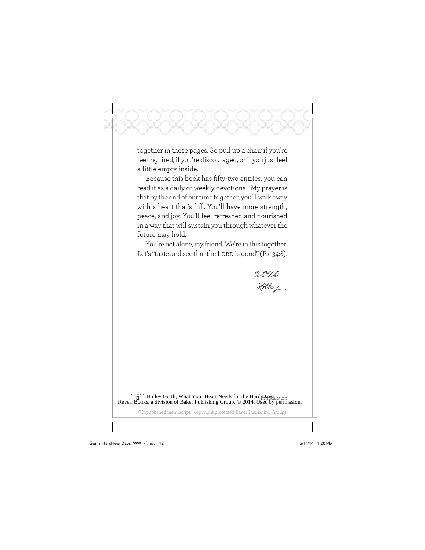together in these pages. So pull up a chair if you're feeling tired, if you're discouraged, or if you just feel a little empty inside.

Because this book has fifty-two entries, you can read it as a daily or weekly devotional. My prayer is that by the end of our time together, you'll walk away with a heart that's full. You'll have more strength, peace, and joy. You'll feel refreshed and nourished in a way that will sustain you through whatever the future may hold.

You're not alone, my friend. We're in this together. Let's "taste and see that the LORD is good" (Ps. 34:8).

> X OX O Holley

<sub>12</sub> Holley Gerth, what Your Heart Needs for the Hard<sub>I</sub>Max<sub>duction</sub><br>Revell Books, a division of Baker Publishing Group, © 2014. Used by permission. Holley Gerth, What Your Heart Needs for the Hard Days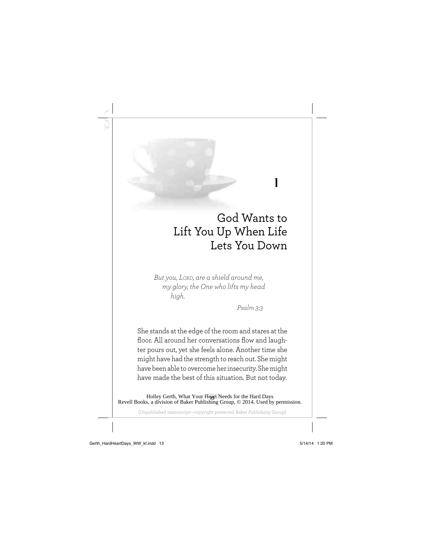#### God Wants to Lift You Up When Life Lets You Down

*But you, LORD, are a shield around me, my glory, the One who lifts my head high.*

*Psalm 3:3*

1

She stands at the edge of the room and stares at the floor. All around her conversations flow and laughter pours out, yet she feels alone. Another time she might have had the strength to reach out. She might have been able to overcome her insecurity. She might have made the best of this situation. But not today.

13 Revell Books, a division of Baker Publishing Group, © 2014. Used by permission.Holley Gerth, What Your Heart Needs for the Hard Days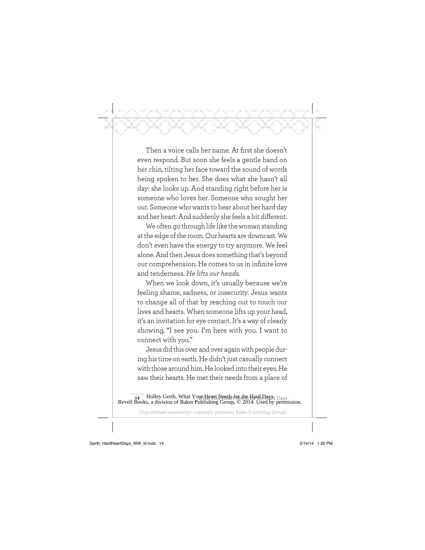Then a voice calls her name. At first she doesn't even respond. But soon she feels a gentle hand on her chin, tilting her face toward the sound of words being spoken to her. She does what she hasn't all day: she looks up. And standing right before her is someone who loves her. Someone who sought her out. Someone who wants to hear about her hard day and her heart. And suddenly she feels a bit different.

We often go through life like the woman standing at the edge of the room. Our hearts are downcast. We don't even have the energy to try anymore. We feel alone. And then Jesus does something that's beyond our comprehension. He comes to us in infinite love and tenderness. *He lifts our heads.*

When we look down, it's usually because we're feeling shame, sadness, or insecurity. Jesus wants to change all of that by reaching out to touch our lives and hearts. When someone lifts up your head, it's an invitation for eye contact. It's a way of clearly showing, "I see you. I'm here with you. I want to connect with you."

Jesus did this over and over again with people during his time on earth. He didn't just casually connect with those around him. He looked into their eyes. He saw their hearts. He met their needs from a place of

<sub>14</sub> Holley Gerth, what Your Heart In Fields for the Hard Days<br>Revell Books, a division of Baker Publishing Group, © 2014. Used by permission. Holley Gerth, What Your Heart Needs for the Hard Days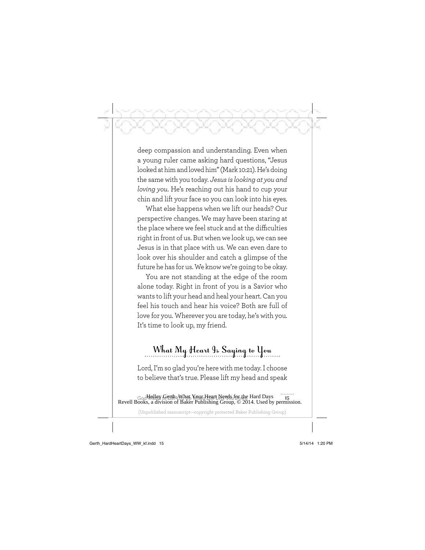deep compassion and understanding. Even when a young ruler came asking hard questions, "Jesus looked at him and loved him" (Mark 10:21). He's doing the same with you today. *Jesus is looking at you and loving you*. He's reaching out his hand to cup your chin and lift your face so you can look into his eyes.

What else happens when we lift our heads? Our perspective changes. We may have been staring at the place where we feel stuck and at the difficulties right in front of us. But when we look up, we can see Jesus is in that place with us. We can even dare to look over his shoulder and catch a glimpse of the future he has for us. We know we're going to be okay.

You are not standing at the edge of the room alone today. Right in front of you is a Savior who wants to lift your head and heal your heart. Can you feel his touch and hear his voice? Both are full of love for you. Wherever you are today, he's with you. It's time to look up, my friend.

### What My Heart Is Saying to You

Lord, I'm so glad you're here with me today. I choose to believe that's true. Please lift my head and speak

 $_{\rm God}$  Walley Gerth, What Your Heart Needs for the Hard Days  $_{\rm 15}^{111}$ Revell Books, a division of Baker Publishing Group, © 2014. Used by permission.